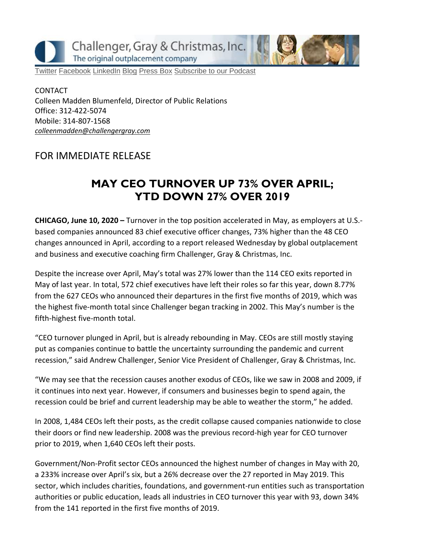Challenger, Gray & Christmas, Inc. The original outplacement company

[Twitter](https://twitter.com/#!/ChallengerGray) [Facebook](https://www.facebook.com/ChallengerGray) [LinkedIn](http://www.linkedin.com/company/28264?trk=tyah) [Blog](http://www.challengergray.com/press/blog) [Press Box](http://www.challengergray.com/press/press-releases) [Subscribe to our Podcast](https://itunes.apple.com/us/podcast/challenger-podcast-hr-passport/id1155541697?mt=2)

CONTACT Colleen Madden Blumenfeld, Director of Public Relations Office: 312-422-5074 Mobile: 314-807-1568 *[colleenmadden@challengergray.com](mailto:colleenmadden@challengergray.com)*

#### FOR IMMEDIATE RELEASE

### **MAY CEO TURNOVER UP 73% OVER APRIL; YTD DOWN 27% OVER 2019**

**CHICAGO, June 10, 2020 –** Turnover in the top position accelerated in May, as employers at U.S. based companies announced 83 chief executive officer changes, 73% higher than the 48 CEO changes announced in April, according to a report released Wednesday by global outplacement and business and executive coaching firm Challenger, Gray & Christmas, Inc.

Despite the increase over April, May's total was 27% lower than the 114 CEO exits reported in May of last year. In total, 572 chief executives have left their roles so far this year, down 8.77% from the 627 CEOs who announced their departures in the first five months of 2019, which was the highest five-month total since Challenger began tracking in 2002. This May's number is the fifth-highest five-month total.

"CEO turnover plunged in April, but is already rebounding in May. CEOs are still mostly staying put as companies continue to battle the uncertainty surrounding the pandemic and current recession," said Andrew Challenger, Senior Vice President of Challenger, Gray & Christmas, Inc.

"We may see that the recession causes another exodus of CEOs, like we saw in 2008 and 2009, if it continues into next year. However, if consumers and businesses begin to spend again, the recession could be brief and current leadership may be able to weather the storm," he added.

In 2008, 1,484 CEOs left their posts, as the credit collapse caused companies nationwide to close their doors or find new leadership. 2008 was the previous record-high year for CEO turnover prior to 2019, when 1,640 CEOs left their posts.

Government/Non-Profit sector CEOs announced the highest number of changes in May with 20, a 233% increase over April's six, but a 26% decrease over the 27 reported in May 2019. This sector, which includes charities, foundations, and government-run entities such as transportation authorities or public education, leads all industries in CEO turnover this year with 93, down 34% from the 141 reported in the first five months of 2019.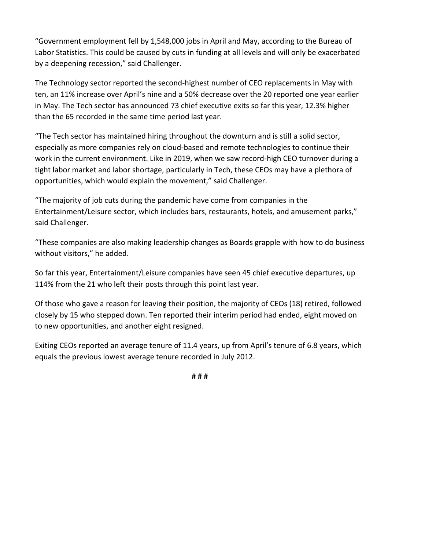"Government employment fell by 1,548,000 jobs in April and May, according to the Bureau of Labor Statistics. This could be caused by cuts in funding at all levels and will only be exacerbated by a deepening recession," said Challenger.

The Technology sector reported the second-highest number of CEO replacements in May with ten, an 11% increase over April's nine and a 50% decrease over the 20 reported one year earlier in May. The Tech sector has announced 73 chief executive exits so far this year, 12.3% higher than the 65 recorded in the same time period last year.

"The Tech sector has maintained hiring throughout the downturn and is still a solid sector, especially as more companies rely on cloud-based and remote technologies to continue their work in the current environment. Like in 2019, when we saw record-high CEO turnover during a tight labor market and labor shortage, particularly in Tech, these CEOs may have a plethora of opportunities, which would explain the movement," said Challenger.

"The majority of job cuts during the pandemic have come from companies in the Entertainment/Leisure sector, which includes bars, restaurants, hotels, and amusement parks," said Challenger.

"These companies are also making leadership changes as Boards grapple with how to do business without visitors," he added.

So far this year, Entertainment/Leisure companies have seen 45 chief executive departures, up 114% from the 21 who left their posts through this point last year.

Of those who gave a reason for leaving their position, the majority of CEOs (18) retired, followed closely by 15 who stepped down. Ten reported their interim period had ended, eight moved on to new opportunities, and another eight resigned.

Exiting CEOs reported an average tenure of 11.4 years, up from April's tenure of 6.8 years, which equals the previous lowest average tenure recorded in July 2012.

**# # #**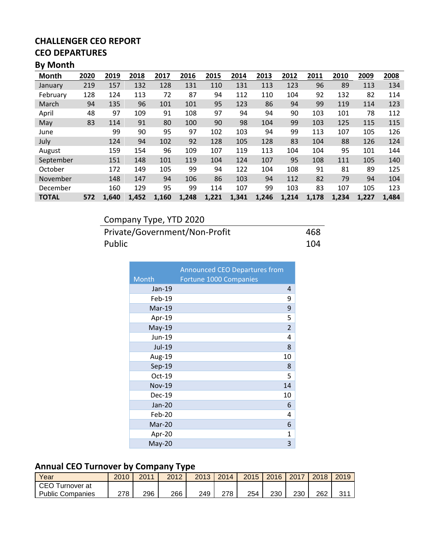## **CEO DEPARTURES**

### **By Month**

| Month        | 2020 | 2019  | 2018  | 2017  | 2016  | 2015  | 2014  | 2013  | 2012  | 2011  | 2010  | 2009  | 2008  |
|--------------|------|-------|-------|-------|-------|-------|-------|-------|-------|-------|-------|-------|-------|
| January      | 219  | 157   | 132   | 128   | 131   | 110   | 131   | 113   | 123   | 96    | 89    | 113   | 134   |
| February     | 128  | 124   | 113   | 72    | 87    | 94    | 112   | 110   | 104   | 92    | 132   | 82    | 114   |
| March        | 94   | 135   | 96    | 101   | 101   | 95    | 123   | 86    | 94    | 99    | 119   | 114   | 123   |
| April        | 48   | 97    | 109   | 91    | 108   | 97    | 94    | 94    | 90    | 103   | 101   | 78    | 112   |
| May          | 83   | 114   | 91    | 80    | 100   | 90    | 98    | 104   | 99    | 103   | 125   | 115   | 115   |
| June         |      | 99    | 90    | 95    | 97    | 102   | 103   | 94    | 99    | 113   | 107   | 105   | 126   |
| July         |      | 124   | 94    | 102   | 92    | 128   | 105   | 128   | 83    | 104   | 88    | 126   | 124   |
| August       |      | 159   | 154   | 96    | 109   | 107   | 119   | 113   | 104   | 104   | 95    | 101   | 144   |
| September    |      | 151   | 148   | 101   | 119   | 104   | 124   | 107   | 95    | 108   | 111   | 105   | 140   |
| October      |      | 172   | 149   | 105   | 99    | 94    | 122   | 104   | 108   | 91    | 81    | 89    | 125   |
| November     |      | 148   | 147   | 94    | 106   | 86    | 103   | 94    | 112   | 82    | 79    | 94    | 104   |
| December     |      | 160   | 129   | 95    | 99    | 114   | 107   | 99    | 103   | 83    | 107   | 105   | 123   |
| <b>TOTAL</b> | 572  | 1,640 | 1,452 | 1,160 | 1,248 | 1,221 | 1,341 | 1,246 | 1,214 | 1,178 | 1,234 | 1,227 | 1,484 |

## Company Type, YTD 2020

Private/Government/Non-Profit 468<br>Public 104 Public 2012 104

|               | <b>Announced CEO Departures from</b> |
|---------------|--------------------------------------|
| Month         | Fortune 1000 Companies               |
| Jan-19        | 4                                    |
| Feb-19        | 9                                    |
| Mar-19        | 9                                    |
| Apr-19        | 5                                    |
| May-19        | $\overline{2}$                       |
| Jun-19        | 4                                    |
| Jul-19        | 8                                    |
| Aug-19        | 10                                   |
| $Sep-19$      | 8                                    |
| Oct-19        | 5                                    |
| <b>Nov-19</b> | 14                                   |
| <b>Dec-19</b> | 10                                   |
| <b>Jan-20</b> | 6                                    |
| Feb-20        | 4                                    |
| Mar-20        | 6                                    |
| Apr-20        | 1                                    |
| $May-20$      | 3                                    |

#### **Annual CEO Turnover by Company Type**

| Year                    | 2010 | 2011 | 2012 | 2013 | 2014 | 2015 | 2016 | 2017 | 2018 | 2019 |
|-------------------------|------|------|------|------|------|------|------|------|------|------|
| CEO<br>Turnover at      |      |      |      |      |      |      |      |      |      |      |
| <b>Public Companies</b> | 278  | 296  | 266  | 249  | 278  | 254  | 230  | 230  | 262  | 21   |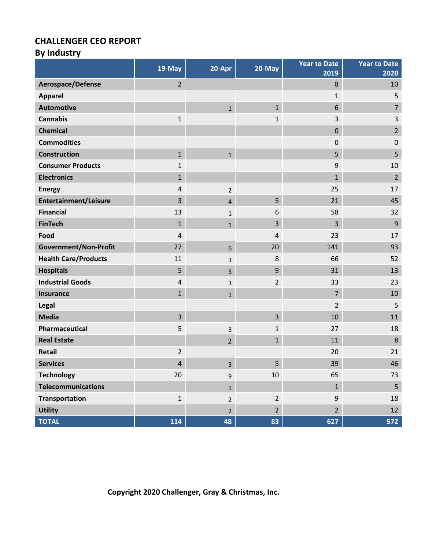# **By Industry**

|                              | $19-May$       | 20-Apr         | 20-May         | <b>Year to Date</b><br>2019 | <b>Year to Date</b><br>2020 |
|------------------------------|----------------|----------------|----------------|-----------------------------|-----------------------------|
| Aerospace/Defense            | $\overline{2}$ |                |                | 8                           | 10                          |
| <b>Apparel</b>               |                |                |                | $\mathbf{1}$                | 5                           |
| <b>Automotive</b>            |                | $\mathbf{1}$   | $\mathbf{1}$   | 6                           | $\overline{7}$              |
| <b>Cannabis</b>              | $\mathbf 1$    |                | $\mathbf{1}$   | 3                           | $\overline{3}$              |
| <b>Chemical</b>              |                |                |                | $\pmb{0}$                   | $\overline{2}$              |
| <b>Commodities</b>           |                |                |                | 0                           | $\mathbf 0$                 |
| <b>Construction</b>          | $\mathbf{1}$   | $\mathbf{1}$   |                | 5                           | 5                           |
| <b>Consumer Products</b>     | 1              |                |                | 9                           | 10                          |
| <b>Electronics</b>           | $\mathbf{1}$   |                |                | $\mathbf{1}$                | $\overline{2}$              |
| <b>Energy</b>                | 4              | $\overline{2}$ |                | 25                          | 17                          |
| <b>Entertainment/Leisure</b> | 3              | $\overline{4}$ | 5              | 21                          | 45                          |
| <b>Financial</b>             | 13             | $\mathbf{1}$   | 6              | 58                          | 32                          |
| <b>FinTech</b>               | $\mathbf{1}$   | $\mathbf{1}$   | 3              | 3                           | $9\,$                       |
| Food                         | 4              |                | 4              | 23                          | 17                          |
| Government/Non-Profit        | 27             | 6              | 20             | 141                         | 93                          |
| <b>Health Care/Products</b>  | 11             | 3              | 8              | 66                          | 52                          |
| <b>Hospitals</b>             | 5              | 3              | $9\,$          | 31                          | 13                          |
| <b>Industrial Goods</b>      | $\overline{4}$ | 3              | $\overline{2}$ | 33                          | 23                          |
| Insurance                    | $\mathbf{1}$   | $\mathbf{1}$   |                | $\overline{7}$              | 10                          |
| Legal                        |                |                |                | $\overline{2}$              | 5                           |
| <b>Media</b>                 | $\overline{3}$ |                | $\overline{3}$ | 10                          | 11                          |
| Pharmaceutical               | 5              | 3              | $\mathbf{1}$   | 27                          | 18                          |
| <b>Real Estate</b>           |                | $\overline{2}$ | $\mathbf{1}$   | 11                          | $\,8$                       |
| Retail                       | $\overline{2}$ |                |                | 20                          | 21                          |
| <b>Services</b>              | 4              | 3              | 5              | 39                          | 46                          |
| <b>Technology</b>            | 20             | 9              | 10             | 65                          | 73                          |
| <b>Telecommunications</b>    |                | $\mathbf{1}$   |                | $\mathbf{1}$                | 5 <sub>o</sub>              |
| <b>Transportation</b>        | $\mathbf{1}$   | $\overline{2}$ | $\overline{2}$ | $\boldsymbol{9}$            | 18                          |
| <b>Utility</b>               |                | $2^{\circ}$    | $\overline{2}$ | $\overline{2}$              | 12                          |
| <b>TOTAL</b>                 | 114            | 48             | 83             | 627                         | 572                         |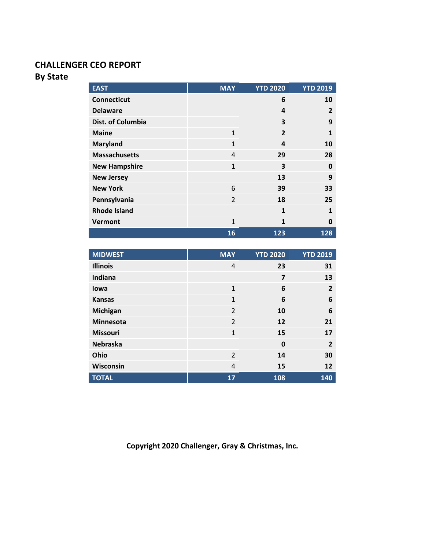#### **By State**

| <b>EAST</b>          | <b>MAY</b>     | <b>YTD 2020</b> | <b>YTD 2019</b> |
|----------------------|----------------|-----------------|-----------------|
| <b>Connecticut</b>   |                | 6               | 10              |
| <b>Delaware</b>      |                | 4               | $\overline{2}$  |
| Dist. of Columbia    |                | 3               | 9               |
| <b>Maine</b>         | $\mathbf{1}$   | $\overline{2}$  | 1               |
| <b>Maryland</b>      | $\mathbf{1}$   | 4               | 10              |
| <b>Massachusetts</b> | $\overline{a}$ | 29              | 28              |
| <b>New Hampshire</b> | $\mathbf{1}$   | 3               | 0               |
| <b>New Jersey</b>    |                | 13              | 9               |
| <b>New York</b>      | 6              | 39              | 33              |
| Pennsylvania         | $\overline{2}$ | 18              | 25              |
| <b>Rhode Island</b>  |                | 1               | 1               |
| <b>Vermont</b>       | $\mathbf{1}$   | $\mathbf{1}$    | 0               |
|                      | 16             | 123             | 128             |
|                      |                |                 |                 |

| <b>MIDWEST</b>   | <b>MAY</b>     | <b>YTD 2020</b> | <b>YTD 2019</b> |
|------------------|----------------|-----------------|-----------------|
| <b>Illinois</b>  | 4              | 23              | 31              |
| Indiana          |                | $\overline{7}$  | 13              |
| lowa             | $\mathbf{1}$   | 6               | $\overline{2}$  |
| <b>Kansas</b>    | $\mathbf{1}$   | 6               | 6               |
| Michigan         | $\overline{2}$ | 10              | 6               |
| <b>Minnesota</b> | 2              | 12              | 21              |
| Missouri         | $\mathbf{1}$   | 15              | 17              |
| <b>Nebraska</b>  |                | $\mathbf 0$     | $\overline{2}$  |
| Ohio             | 2              | 14              | 30              |
| Wisconsin        | $\overline{4}$ | 15              | 12              |
| <b>TOTAL</b>     | 17             | 108             | 140             |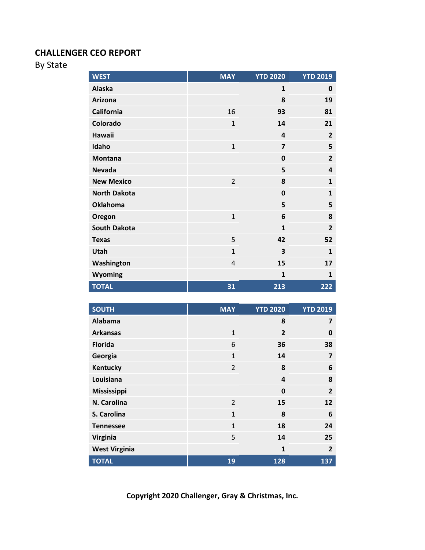By State

| <b>WEST</b>         | <b>MAY</b>     | <b>YTD 2020</b> | <b>YTD 2019</b> |
|---------------------|----------------|-----------------|-----------------|
| Alaska              |                | $\mathbf{1}$    | 0               |
| Arizona             |                | 8               | 19              |
| California          | 16             | 93              | 81              |
| Colorado            | $\mathbf{1}$   | 14              | 21              |
| <b>Hawaii</b>       |                | 4               | $\overline{2}$  |
| Idaho               | $\mathbf{1}$   | $\overline{7}$  | 5               |
| <b>Montana</b>      |                | $\mathbf 0$     | $\overline{2}$  |
| <b>Nevada</b>       |                | 5               | $\overline{4}$  |
| <b>New Mexico</b>   | $\overline{2}$ | 8               | $\mathbf{1}$    |
| <b>North Dakota</b> |                | $\mathbf{0}$    | $\mathbf{1}$    |
| <b>Oklahoma</b>     |                | 5               | 5               |
| Oregon              | $\mathbf{1}$   | 6               | 8               |
| <b>South Dakota</b> |                | $\mathbf{1}$    | $\overline{2}$  |
| <b>Texas</b>        | 5              | 42              | 52              |
| Utah                | $\mathbf{1}$   | 3               | $\mathbf{1}$    |
| Washington          | $\overline{4}$ | 15              | 17              |
| <b>Wyoming</b>      |                | $\mathbf{1}$    | $\mathbf{1}$    |
| <b>TOTAL</b>        | 31             | 213             | 222             |

| <b>SOUTH</b>         | <b>MAY</b>     | <b>YTD 2020</b> | <b>YTD 2019</b> |
|----------------------|----------------|-----------------|-----------------|
| Alabama              |                | 8               | 7               |
| <b>Arkansas</b>      | $\mathbf{1}$   | $\overline{2}$  | 0               |
| <b>Florida</b>       | 6              | 36              | 38              |
| Georgia              | $\mathbf{1}$   | 14              | 7               |
| Kentucky             | $\overline{2}$ | 8               | 6               |
| Louisiana            |                | 4               | 8               |
| Mississippi          |                | $\mathbf 0$     | $\overline{2}$  |
| N. Carolina          | $\overline{2}$ | 15              | 12              |
| S. Carolina          | $\mathbf{1}$   | 8               | 6               |
| <b>Tennessee</b>     | $\mathbf{1}$   | 18              | 24              |
| <b>Virginia</b>      | 5              | 14              | 25              |
| <b>West Virginia</b> |                | $\mathbf{1}$    | $\overline{2}$  |
| <b>TOTAL</b>         | 19             | 128             | 137             |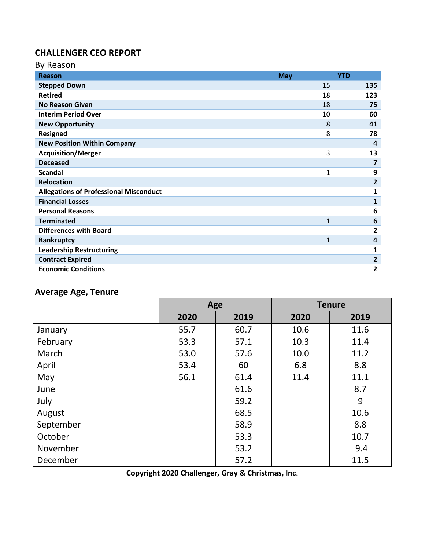| By Reason                                     |              |                |
|-----------------------------------------------|--------------|----------------|
| <b>Reason</b>                                 | <b>May</b>   | <b>YTD</b>     |
| <b>Stepped Down</b>                           | 15           | 135            |
| <b>Retired</b>                                | 18           | 123            |
| <b>No Reason Given</b>                        | 18           | 75             |
| <b>Interim Period Over</b>                    | 10           | 60             |
| <b>New Opportunity</b>                        | 8            | 41             |
| <b>Resigned</b>                               |              | 8<br>78        |
| <b>New Position Within Company</b>            |              | 4              |
| <b>Acquisition/Merger</b>                     |              | 3<br>13        |
| <b>Deceased</b>                               |              | 7              |
| <b>Scandal</b>                                | $\mathbf{1}$ | 9              |
| <b>Relocation</b>                             |              | $\overline{2}$ |
| <b>Allegations of Professional Misconduct</b> |              | 1              |
| <b>Financial Losses</b>                       |              | $\mathbf{1}$   |
| <b>Personal Reasons</b>                       |              | 6              |
| <b>Terminated</b>                             | 1            | 6              |
| <b>Differences with Board</b>                 |              | 2              |
| <b>Bankruptcy</b>                             | $\mathbf{1}$ | 4              |
| <b>Leadership Restructuring</b>               |              | 1              |
| <b>Contract Expired</b>                       |              | $\overline{2}$ |
| <b>Economic Conditions</b>                    |              | $\overline{2}$ |

## **Average Age, Tenure**

|           | Age  |      |      | <b>Tenure</b> |
|-----------|------|------|------|---------------|
|           | 2020 | 2019 | 2020 | 2019          |
| January   | 55.7 | 60.7 | 10.6 | 11.6          |
| February  | 53.3 | 57.1 | 10.3 | 11.4          |
| March     | 53.0 | 57.6 | 10.0 | 11.2          |
| April     | 53.4 | 60   | 6.8  | 8.8           |
| May       | 56.1 | 61.4 | 11.4 | 11.1          |
| June      |      | 61.6 |      | 8.7           |
| July      |      | 59.2 |      | 9             |
| August    |      | 68.5 |      | 10.6          |
| September |      | 58.9 |      | 8.8           |
| October   |      | 53.3 |      | 10.7          |
| November  |      | 53.2 |      | 9.4           |
| December  |      | 57.2 |      | 11.5          |